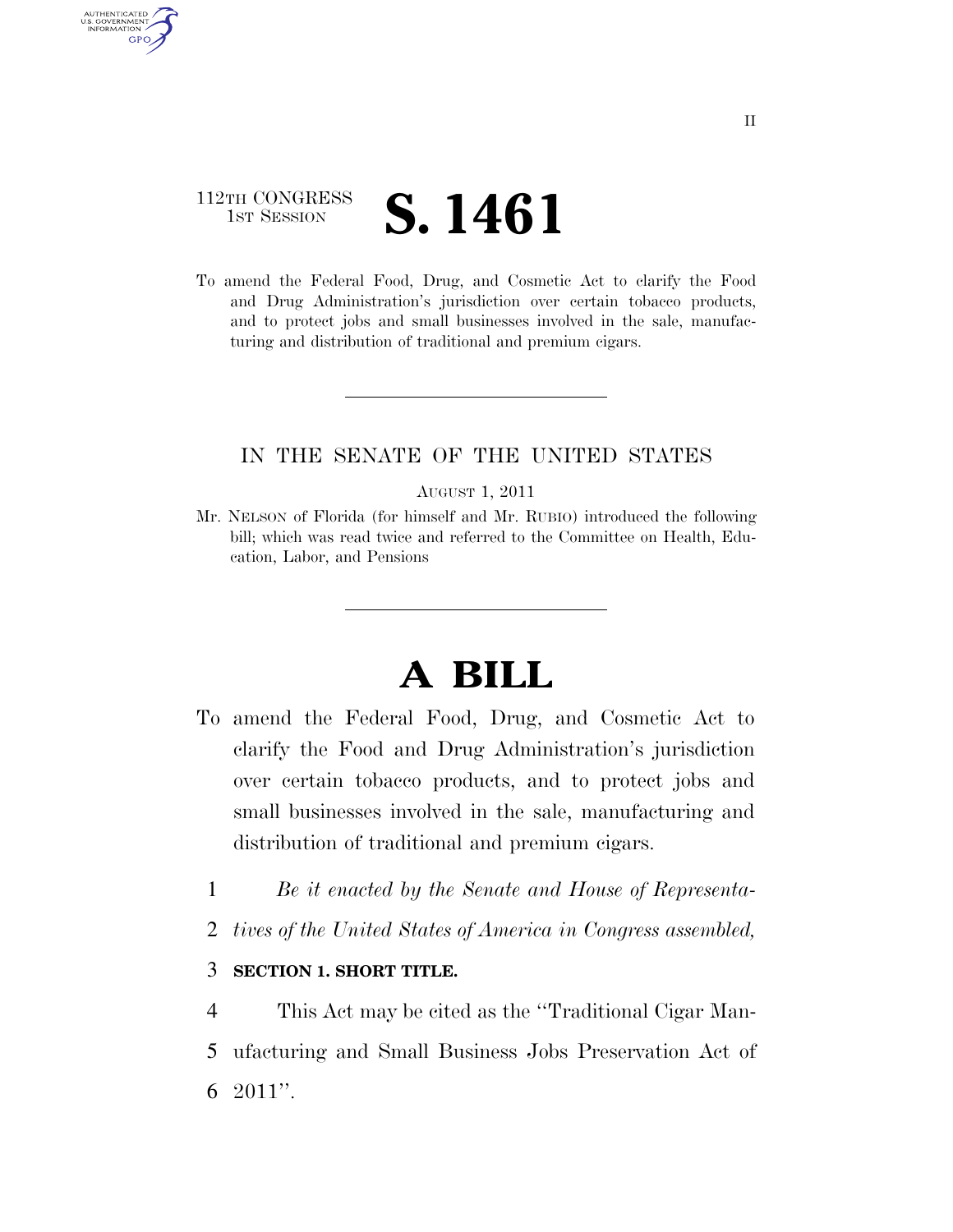# 112TH CONGRESS **1st Session S. 1461**

AUTHENTICATED U.S. GOVERNMENT **GPO** 

> To amend the Federal Food, Drug, and Cosmetic Act to clarify the Food and Drug Administration's jurisdiction over certain tobacco products, and to protect jobs and small businesses involved in the sale, manufacturing and distribution of traditional and premium cigars.

## IN THE SENATE OF THE UNITED STATES

#### AUGUST 1, 2011

Mr. NELSON of Florida (for himself and Mr. RUBIO) introduced the following bill; which was read twice and referred to the Committee on Health, Education, Labor, and Pensions

# **A BILL**

- To amend the Federal Food, Drug, and Cosmetic Act to clarify the Food and Drug Administration's jurisdiction over certain tobacco products, and to protect jobs and small businesses involved in the sale, manufacturing and distribution of traditional and premium cigars.
	- 1 *Be it enacted by the Senate and House of Representa-*
	- 2 *tives of the United States of America in Congress assembled,*

### 3 **SECTION 1. SHORT TITLE.**

4 This Act may be cited as the ''Traditional Cigar Man-

5 ufacturing and Small Business Jobs Preservation Act of 6 2011''.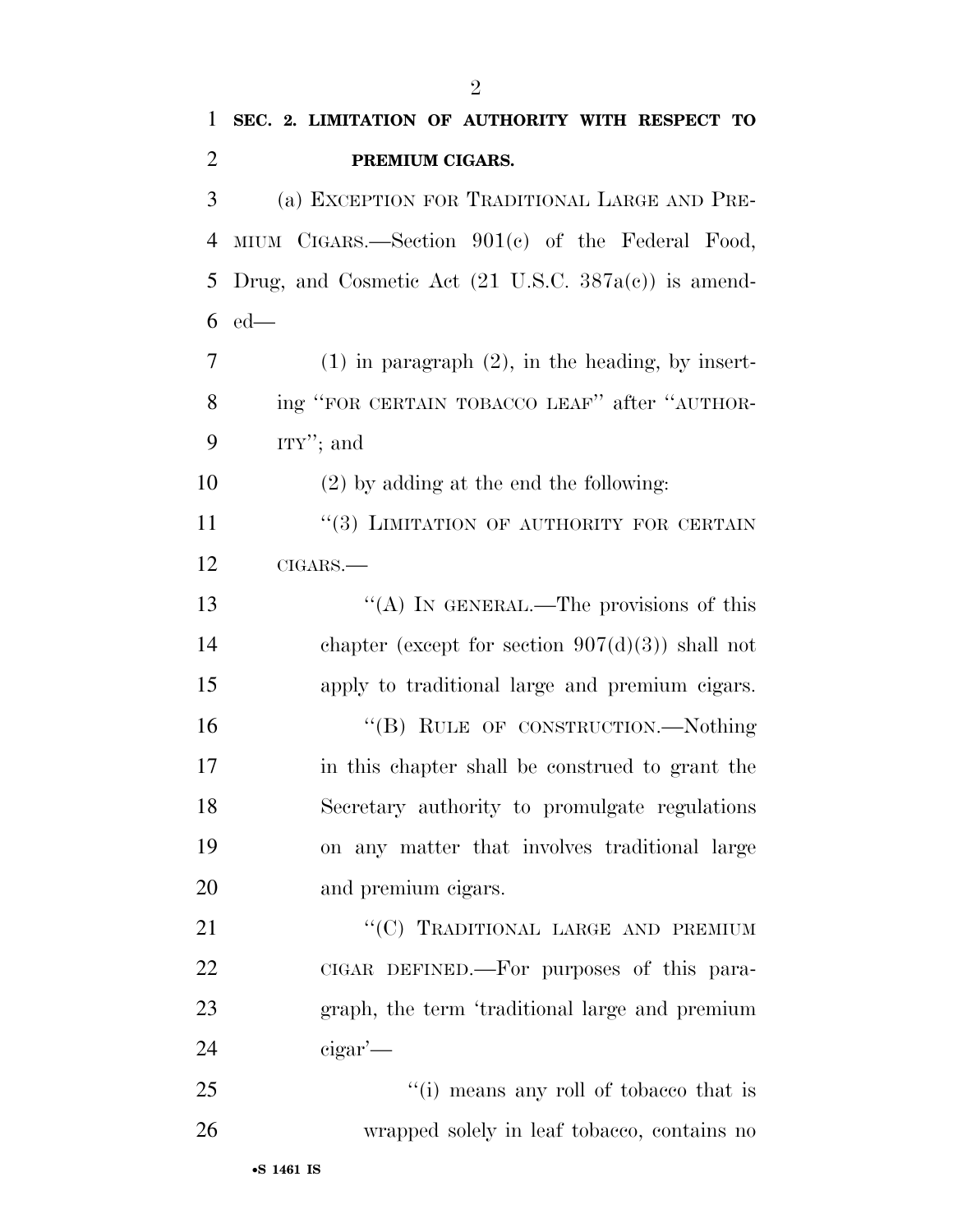**SEC. 2. LIMITATION OF AUTHORITY WITH RESPECT TO** 

**PREMIUM CIGARS.** 

| 3      | (a) EXCEPTION FOR TRADITIONAL LARGE AND PRE-                    |
|--------|-----------------------------------------------------------------|
| 4      | MIUM CIGARS.—Section 901(c) of the Federal Food,                |
| 5      | Drug, and Cosmetic Act $(21 \text{ U.S.C. } 387a(c))$ is amend- |
| 6      | $ed$ —                                                          |
| $\tau$ | $(1)$ in paragraph $(2)$ , in the heading, by insert-           |
| 8      | ing "FOR CERTAIN TOBACCO LEAF" after "AUTHOR-                   |
| 9      | $ITY''$ ; and                                                   |
| 10     | $(2)$ by adding at the end the following:                       |
| 11     | "(3) LIMITATION OF AUTHORITY FOR CERTAIN                        |
| 12     | CIGARS.                                                         |
| 13     | "(A) IN GENERAL.—The provisions of this                         |
| 14     | chapter (except for section $907(d)(3)$ ) shall not             |
| 15     | apply to traditional large and premium cigars.                  |
| 16     | "(B) RULE OF CONSTRUCTION.—Nothing                              |
| 17     | in this chapter shall be construed to grant the                 |
| 18     | Secretary authority to promulgate regulations                   |
| 19     | on any matter that involves traditional large                   |
| 20     | and premium eigars.                                             |
| 21     | "(C) TRADITIONAL LARGE AND PREMIUM                              |
| 22     | CIGAR DEFINED.—For purposes of this para-                       |
| 23     | graph, the term 'traditional large and premium                  |
| 24     | $\alpha$ eigar'—                                                |
| 25     | "(i) means any roll of tobacco that is                          |
| 26     | wrapped solely in leaf tobacco, contains no                     |
|        | •S 1461 IS                                                      |
|        |                                                                 |